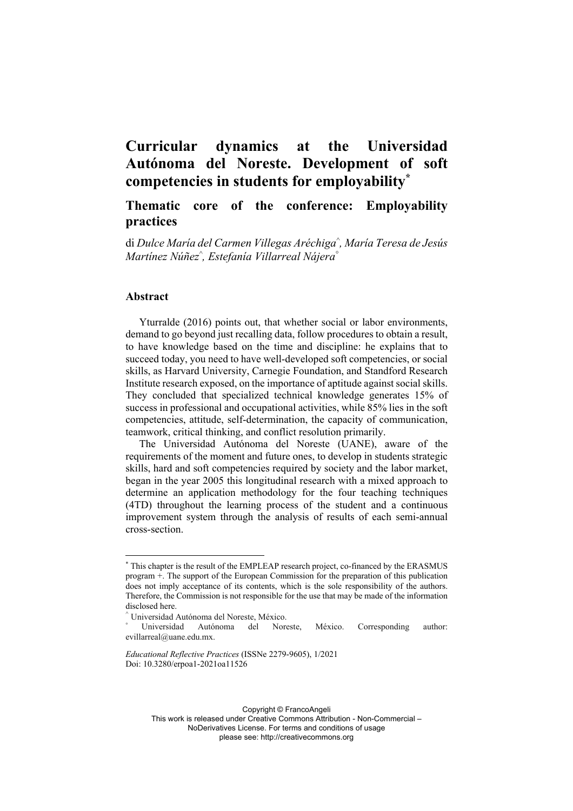# **Curricular dynamics at the Universidad Autónoma del Noreste. Development of soft competencies in students for employability\***

# **Thematic core of the conference: Employability practices**

di *Dulce María del Carmen Villegas Aréchiga^ , María Teresa de Jesús Martínez Núñez^ , Estefanía Villarreal Nájera°*

#### **Abstract**

Yturralde (2016) points out, that whether social or labor environments, demand to go beyond just recalling data, follow procedures to obtain a result, to have knowledge based on the time and discipline: he explains that to succeed today, you need to have well-developed soft competencies, or social skills, as Harvard University, Carnegie Foundation, and Standford Research Institute research exposed, on the importance of aptitude against social skills. They concluded that specialized technical knowledge generates 15% of success in professional and occupational activities, while 85% lies in the soft competencies, attitude, self-determination, the capacity of communication, teamwork, critical thinking, and conflict resolution primarily.

The Universidad Autónoma del Noreste (UANE), aware of the requirements of the moment and future ones, to develop in students strategic skills, hard and soft competencies required by society and the labor market, began in the year 2005 this longitudinal research with a mixed approach to determine an application methodology for the four teaching techniques (4TD) throughout the learning process of the student and a continuous improvement system through the analysis of results of each semi-annual cross-section.

Copyright © FrancoAngeli

This work is released under Creative Commons Attribution - Non-Commercial –

NoDerivatives License. For terms and conditions of usage

please see: http://creativecommons.org

<sup>\*</sup> This chapter is the result of the EMPLEAP research project, co-financed by the ERASMUS program +. The support of the European Commission for the preparation of this publication does not imply acceptance of its contents, which is the sole responsibility of the authors. Therefore, the Commission is not responsible for the use that may be made of the information disclosed here.

<sup>^</sup> Universidad Autónoma del Noreste, México.

Universidad Autónoma del Noreste, México. Corresponding author: evillarreal@uane.edu.mx.

*Educational Reflective Practices* (ISSNe 2279-9605), 1/2021 Doi: 10.3280/erpoa1-2021oa11526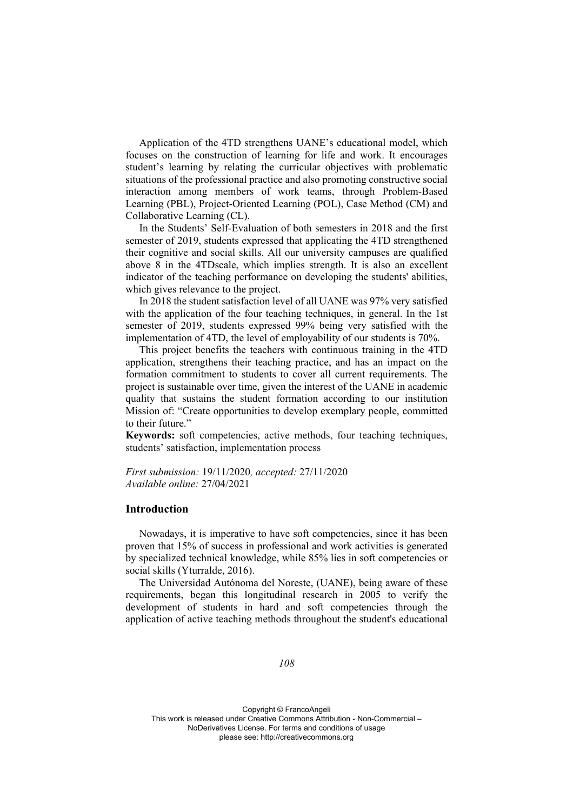Application of the 4TD strengthens UANE's educational model, which focuses on the construction of learning for life and work. It encourages student's learning by relating the curricular objectives with problematic situations of the professional practice and also promoting constructive social interaction among members of work teams, through Problem-Based Learning (PBL), Project-Oriented Learning (POL), Case Method (CM) and Collaborative Learning (CL).

In the Students' Self-Evaluation of both semesters in 2018 and the first semester of 2019, students expressed that applicating the 4TD strengthened their cognitive and social skills. All our university campuses are qualified above 8 in the 4TDscale, which implies strength. It is also an excellent indicator of the teaching performance on developing the students' abilities, which gives relevance to the project.

In 2018 the student satisfaction level of all UANE was 97% very satisfied with the application of the four teaching techniques, in general. In the 1st semester of 2019, students expressed 99% being very satisfied with the implementation of 4TD, the level of employability of our students is 70%.

This project benefits the teachers with continuous training in the 4TD application, strengthens their teaching practice, and has an impact on the formation commitment to students to cover all current requirements. The project is sustainable over time, given the interest of the UANE in academic quality that sustains the student formation according to our institution Mission of: "Create opportunities to develop exemplary people, committed to their future."

**Keywords:** soft competencies, active methods, four teaching techniques, students' satisfaction, implementation process

*First submission:* 19/11/2020*, accepted:* 27/11/2020 *Available online:* 27/04/2021

#### **Introduction**

Nowadays, it is imperative to have soft competencies, since it has been proven that 15% of success in professional and work activities is generated by specialized technical knowledge, while 85% lies in soft competencies or social skills (Yturralde, 2016).

The Universidad Autónoma del Noreste, (UANE), being aware of these requirements, began this longitudinal research in 2005 to verify the development of students in hard and soft competencies through the application of active teaching methods throughout the student's educational

#### *108*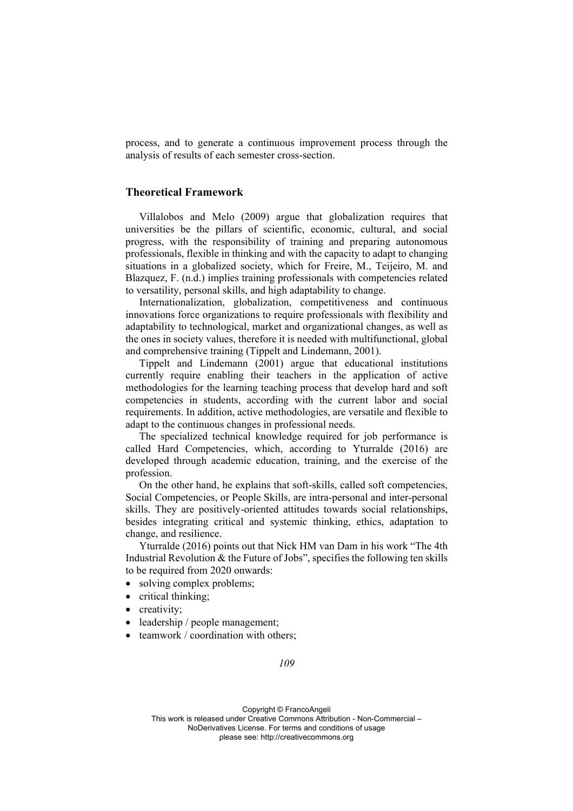process, and to generate a continuous improvement process through the analysis of results of each semester cross-section.

# **Theoretical Framework**

Villalobos and Melo (2009) argue that globalization requires that universities be the pillars of scientific, economic, cultural, and social progress, with the responsibility of training and preparing autonomous professionals, flexible in thinking and with the capacity to adapt to changing situations in a globalized society, which for Freire, M., Teijeiro, M. and Blazquez, F. (n.d.) implies training professionals with competencies related to versatility, personal skills, and high adaptability to change.

Internationalization, globalization, competitiveness and continuous innovations force organizations to require professionals with flexibility and adaptability to technological, market and organizational changes, as well as the ones in society values, therefore it is needed with multifunctional, global and comprehensive training (Tippelt and Lindemann, 2001).

Tippelt and Lindemann (2001) argue that educational institutions currently require enabling their teachers in the application of active methodologies for the learning teaching process that develop hard and soft competencies in students, according with the current labor and social requirements. In addition, active methodologies, are versatile and flexible to adapt to the continuous changes in professional needs.

The specialized technical knowledge required for job performance is called Hard Competencies, which, according to Yturralde (2016) are developed through academic education, training, and the exercise of the profession.

On the other hand, he explains that soft-skills, called soft competencies, Social Competencies, or People Skills, are intra-personal and inter-personal skills. They are positively-oriented attitudes towards social relationships, besides integrating critical and systemic thinking, ethics, adaptation to change, and resilience.

Yturralde (2016) points out that Nick HM van Dam in his work "The 4th Industrial Revolution & the Future of Jobs", specifies the following ten skills to be required from 2020 onwards:

- solving complex problems;
- critical thinking;
- creativity;
- leadership / people management;
- teamwork / coordination with others;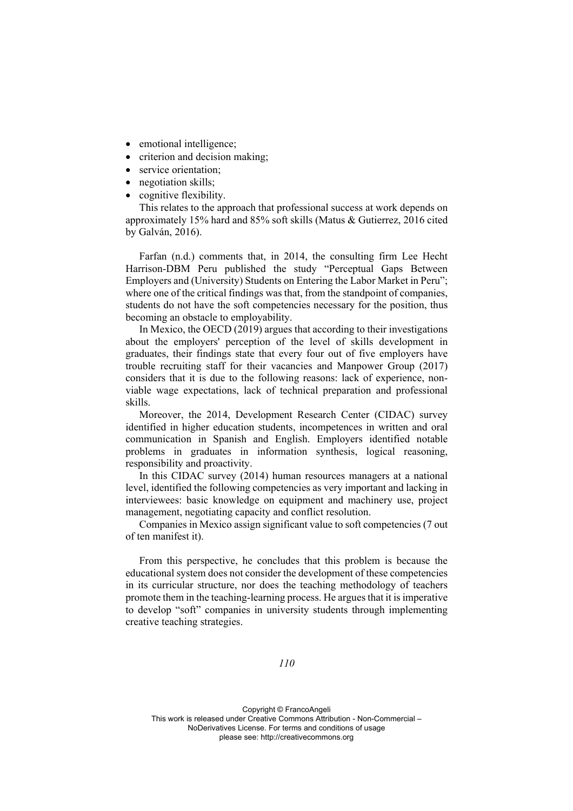- emotional intelligence;
- criterion and decision making;
- service orientation;
- negotiation skills;
- cognitive flexibility.

This relates to the approach that professional success at work depends on approximately 15% hard and 85% soft skills (Matus & Gutierrez, 2016 cited by Galván, 2016).

Farfan (n.d.) comments that, in 2014, the consulting firm Lee Hecht Harrison-DBM Peru published the study "Perceptual Gaps Between Employers and (University) Students on Entering the Labor Market in Peru"; where one of the critical findings was that, from the standpoint of companies, students do not have the soft competencies necessary for the position, thus becoming an obstacle to employability.

In Mexico, the OECD (2019) argues that according to their investigations about the employers' perception of the level of skills development in graduates, their findings state that every four out of five employers have trouble recruiting staff for their vacancies and Manpower Group (2017) considers that it is due to the following reasons: lack of experience, nonviable wage expectations, lack of technical preparation and professional skills.

Moreover, the 2014, Development Research Center (CIDAC) survey identified in higher education students, incompetences in written and oral communication in Spanish and English. Employers identified notable problems in graduates in information synthesis, logical reasoning, responsibility and proactivity.

In this CIDAC survey (2014) human resources managers at a national level, identified the following competencies as very important and lacking in interviewees: basic knowledge on equipment and machinery use, project management, negotiating capacity and conflict resolution.

Companies in Mexico assign significant value to soft competencies (7 out of ten manifest it).

From this perspective, he concludes that this problem is because the educational system does not consider the development of these competencies in its curricular structure, nor does the teaching methodology of teachers promote them in the teaching-learning process. He argues that it is imperative to develop "soft" companies in university students through implementing creative teaching strategies.

# *110*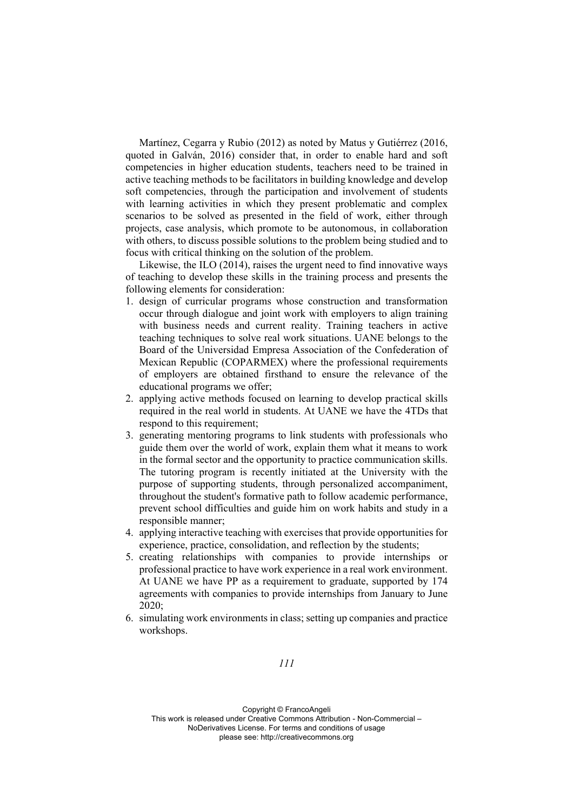Martínez, Cegarra y Rubio (2012) as noted by Matus y Gutiérrez (2016, quoted in Galván, 2016) consider that, in order to enable hard and soft competencies in higher education students, teachers need to be trained in active teaching methods to be facilitators in building knowledge and develop soft competencies, through the participation and involvement of students with learning activities in which they present problematic and complex scenarios to be solved as presented in the field of work, either through projects, case analysis, which promote to be autonomous, in collaboration with others, to discuss possible solutions to the problem being studied and to focus with critical thinking on the solution of the problem.

Likewise, the ILO (2014), raises the urgent need to find innovative ways of teaching to develop these skills in the training process and presents the following elements for consideration:

- 1. design of curricular programs whose construction and transformation occur through dialogue and joint work with employers to align training with business needs and current reality. Training teachers in active teaching techniques to solve real work situations. UANE belongs to the Board of the Universidad Empresa Association of the Confederation of Mexican Republic (COPARMEX) where the professional requirements of employers are obtained firsthand to ensure the relevance of the educational programs we offer;
- 2. applying active methods focused on learning to develop practical skills required in the real world in students. At UANE we have the 4TDs that respond to this requirement;
- 3. generating mentoring programs to link students with professionals who guide them over the world of work, explain them what it means to work in the formal sector and the opportunity to practice communication skills. The tutoring program is recently initiated at the University with the purpose of supporting students, through personalized accompaniment, throughout the student's formative path to follow academic performance, prevent school difficulties and guide him on work habits and study in a responsible manner;
- 4. applying interactive teaching with exercises that provide opportunities for experience, practice, consolidation, and reflection by the students;
- 5. creating relationships with companies to provide internships or professional practice to have work experience in a real work environment. At UANE we have PP as a requirement to graduate, supported by 174 agreements with companies to provide internships from January to June 2020;
- 6. simulating work environments in class; setting up companies and practice workshops.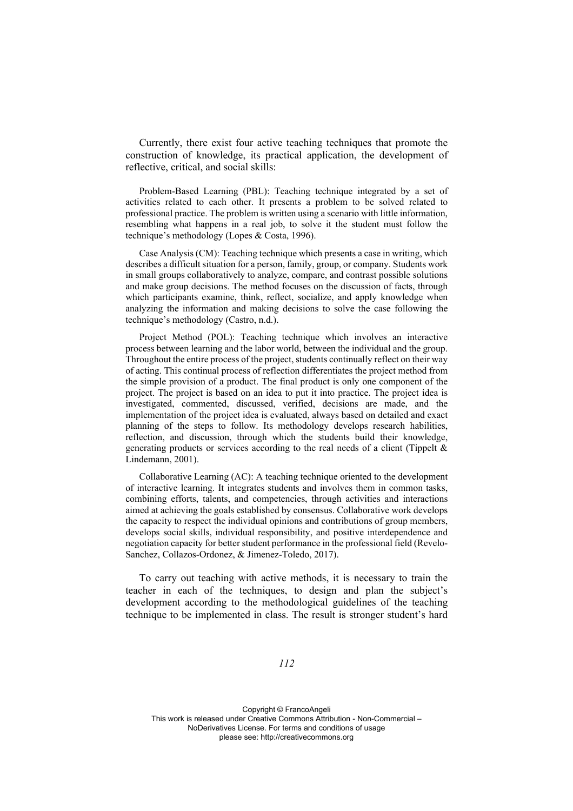Currently, there exist four active teaching techniques that promote the construction of knowledge, its practical application, the development of reflective, critical, and social skills:

Problem-Based Learning (PBL): Teaching technique integrated by a set of activities related to each other. It presents a problem to be solved related to professional practice. The problem is written using a scenario with little information, resembling what happens in a real job, to solve it the student must follow the technique's methodology (Lopes & Costa, 1996).

Case Analysis (CM): Teaching technique which presents a case in writing, which describes a difficult situation for a person, family, group, or company. Students work in small groups collaboratively to analyze, compare, and contrast possible solutions and make group decisions. The method focuses on the discussion of facts, through which participants examine, think, reflect, socialize, and apply knowledge when analyzing the information and making decisions to solve the case following the technique's methodology (Castro, n.d.).

Project Method (POL): Teaching technique which involves an interactive process between learning and the labor world, between the individual and the group. Throughout the entire process of the project, students continually reflect on their way of acting. This continual process of reflection differentiates the project method from the simple provision of a product. The final product is only one component of the project. The project is based on an idea to put it into practice. The project idea is investigated, commented, discussed, verified, decisions are made, and the implementation of the project idea is evaluated, always based on detailed and exact planning of the steps to follow. Its methodology develops research habilities, reflection, and discussion, through which the students build their knowledge, generating products or services according to the real needs of a client (Tippelt & Lindemann, 2001).

Collaborative Learning (AC): A teaching technique oriented to the development of interactive learning. It integrates students and involves them in common tasks, combining efforts, talents, and competencies, through activities and interactions aimed at achieving the goals established by consensus. Collaborative work develops the capacity to respect the individual opinions and contributions of group members, develops social skills, individual responsibility, and positive interdependence and negotiation capacity for better student performance in the professional field (Revelo-Sanchez, Collazos-Ordonez, & Jimenez-Toledo, 2017).

To carry out teaching with active methods, it is necessary to train the teacher in each of the techniques, to design and plan the subject's development according to the methodological guidelines of the teaching technique to be implemented in class. The result is stronger student's hard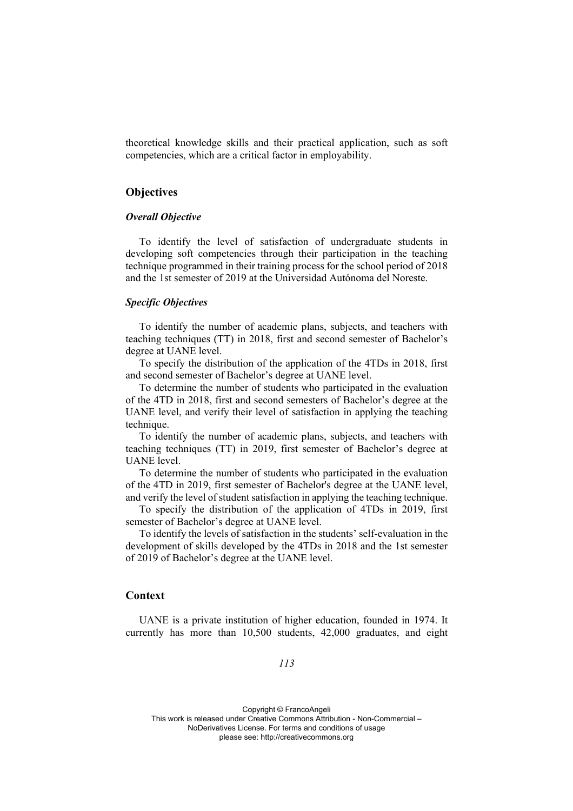theoretical knowledge skills and their practical application, such as soft competencies, which are a critical factor in employability.

# **Objectives**

# *Overall Objective*

To identify the level of satisfaction of undergraduate students in developing soft competencies through their participation in the teaching technique programmed in their training process for the school period of 2018 and the 1st semester of 2019 at the Universidad Autónoma del Noreste.

# *Specific Objectives*

To identify the number of academic plans, subjects, and teachers with teaching techniques (TT) in 2018, first and second semester of Bachelor's degree at UANE level.

To specify the distribution of the application of the 4TDs in 2018, first and second semester of Bachelor's degree at UANE level.

To determine the number of students who participated in the evaluation of the 4TD in 2018, first and second semesters of Bachelor's degree at the UANE level, and verify their level of satisfaction in applying the teaching technique.

To identify the number of academic plans, subjects, and teachers with teaching techniques (TT) in 2019, first semester of Bachelor's degree at UANE level.

To determine the number of students who participated in the evaluation of the 4TD in 2019, first semester of Bachelor's degree at the UANE level, and verify the level of student satisfaction in applying the teaching technique.

To specify the distribution of the application of 4TDs in 2019, first semester of Bachelor's degree at UANE level.

To identify the levels of satisfaction in the students' self-evaluation in the development of skills developed by the 4TDs in 2018 and the 1st semester of 2019 of Bachelor's degree at the UANE level.

# **Context**

UANE is a private institution of higher education, founded in 1974. It currently has more than 10,500 students, 42,000 graduates, and eight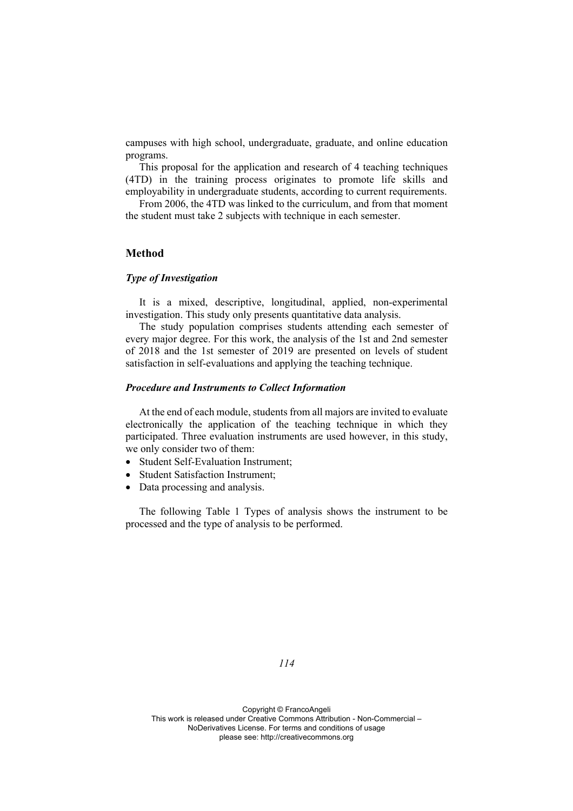campuses with high school, undergraduate, graduate, and online education programs.

This proposal for the application and research of 4 teaching techniques (4TD) in the training process originates to promote life skills and employability in undergraduate students, according to current requirements.

From 2006, the 4TD was linked to the curriculum, and from that moment the student must take 2 subjects with technique in each semester.

# **Method**

# *Type of Investigation*

It is a mixed, descriptive, longitudinal, applied, non-experimental investigation. This study only presents quantitative data analysis.

The study population comprises students attending each semester of every major degree. For this work, the analysis of the 1st and 2nd semester of 2018 and the 1st semester of 2019 are presented on levels of student satisfaction in self-evaluations and applying the teaching technique.

#### *Procedure and Instruments to Collect Information*

At the end of each module, students from all majors are invited to evaluate electronically the application of the teaching technique in which they participated. Three evaluation instruments are used however, in this study, we only consider two of them:

- Student Self-Evaluation Instrument;
- Student Satisfaction Instrument;
- Data processing and analysis.

The following Table 1 Types of analysis shows the instrument to be processed and the type of analysis to be performed.

*114*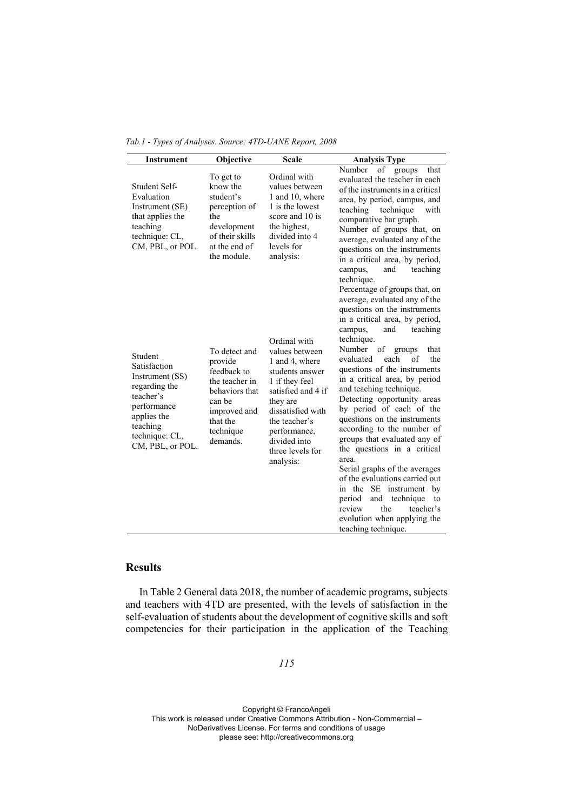| <b>Instrument</b>                                                                                                                                        | Objective                                                                                                                                  | <b>Scale</b>                                                                                                                                                                                                                   | <b>Analysis Type</b>                                                                                                                                                                                                                                                                                                                                                                                                                                                                                                                                                                           |
|----------------------------------------------------------------------------------------------------------------------------------------------------------|--------------------------------------------------------------------------------------------------------------------------------------------|--------------------------------------------------------------------------------------------------------------------------------------------------------------------------------------------------------------------------------|------------------------------------------------------------------------------------------------------------------------------------------------------------------------------------------------------------------------------------------------------------------------------------------------------------------------------------------------------------------------------------------------------------------------------------------------------------------------------------------------------------------------------------------------------------------------------------------------|
| Student Self-<br>Evaluation<br>Instrument (SE)<br>that applies the<br>teaching<br>technique: CL,<br>CM, PBL, or POL.                                     | To get to<br>know the<br>student's<br>perception of<br>the<br>development<br>of their skills<br>at the end of<br>the module.               | Ordinal with<br>values between<br>1 and 10, where<br>1 is the lowest<br>score and 10 is<br>the highest,<br>divided into 4<br>levels for<br>analysis:                                                                           | Number<br>of<br>groups<br>that<br>evaluated the teacher in each<br>of the instruments in a critical<br>area, by period, campus, and<br>teaching<br>technique<br>with<br>comparative bar graph.<br>Number of groups that, on<br>average, evaluated any of the<br>questions on the instruments<br>in a critical area, by period,<br>and<br>teaching<br>campus,<br>technique.<br>Percentage of groups that, on<br>average, evaluated any of the<br>questions on the instruments<br>in a critical area, by period,<br>teaching<br>and<br>campus,                                                   |
| Student<br>Satisfaction<br>Instrument (SS)<br>regarding the<br>teacher's<br>performance<br>applies the<br>teaching<br>technique: CL,<br>CM, PBL, or POL. | To detect and<br>provide<br>feedback to<br>the teacher in<br>behaviors that<br>can be<br>improved and<br>that the<br>technique<br>demands. | Ordinal with<br>values between<br>1 and 4, where<br>students answer<br>1 if they feel<br>satisfied and 4 if<br>they are<br>dissatisfied with<br>the teacher's<br>performance,<br>divided into<br>three levels for<br>analysis: | technique.<br>of<br>Number<br>groups<br>that<br>each<br>of<br>evaluated<br>the<br>questions of the instruments<br>in a critical area, by period<br>and teaching technique.<br>Detecting opportunity areas<br>by period of each of the<br>questions on the instruments<br>according to the number of<br>groups that evaluated any of<br>the questions in a critical<br>area.<br>Serial graphs of the averages<br>of the evaluations carried out<br>in the SE instrument by<br>and technique<br>period<br>to<br>review<br>the<br>teacher's<br>evolution when applying the<br>teaching technique. |

# **Results**

In Table 2 General data 2018, the number of academic programs, subjects and teachers with 4TD are presented, with the levels of satisfaction in the self-evaluation of students about the development of cognitive skills and soft competencies for their participation in the application of the Teaching

# *115*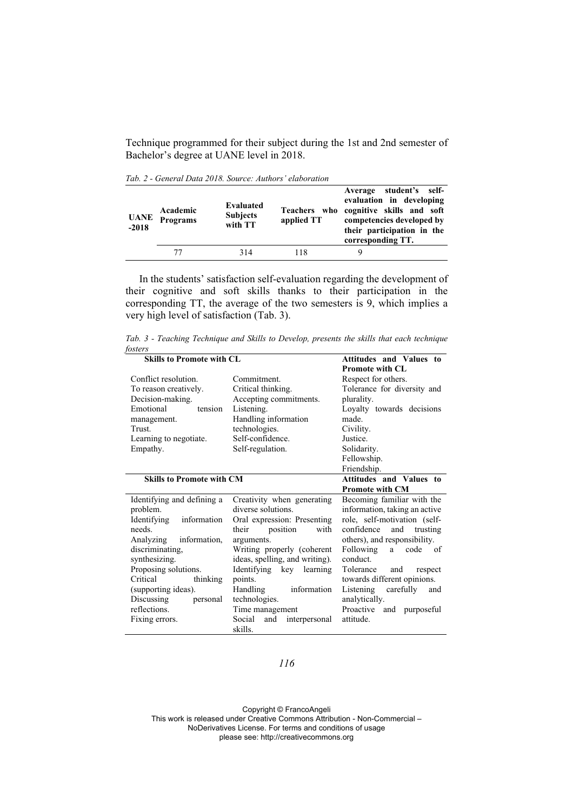Technique programmed for their subject during the 1st and 2nd semester of Bachelor's degree at UANE level in 2018.

*Tab. 2 - General Data 2018. Source: Authors' elaboration* 

| <b>UANE</b><br>$-2018$ | Academic<br>Programs | Evaluated<br><b>Subjects</b><br>with TT | applied TT | student's self-<br>Average<br>evaluation in developing<br>Teachers who cognitive skills and soft<br>competencies developed by<br>their participation in the<br>corresponding TT. |
|------------------------|----------------------|-----------------------------------------|------------|----------------------------------------------------------------------------------------------------------------------------------------------------------------------------------|
|                        | 77                   | 314                                     | 118        | Q                                                                                                                                                                                |

In the students' satisfaction self-evaluation regarding the development of their cognitive and soft skills thanks to their participation in the corresponding TT, the average of the two semesters is 9, which implies a very high level of satisfaction (Tab. 3).

*Tab. 3 - Teaching Technique and Skills to Develop, presents the skills that each technique fosters* 

| <b>Skills to Promote with CL</b> |                                | Attitudes and Values to        |  |
|----------------------------------|--------------------------------|--------------------------------|--|
|                                  |                                | <b>Promote with CL</b>         |  |
| Conflict resolution.             | Commitment.                    | Respect for others.            |  |
| To reason creatively.            | Critical thinking.             | Tolerance for diversity and    |  |
| Decision-making.                 | Accepting commitments.         | plurality.                     |  |
| Emotional<br>tension             | Listening.                     | Loyalty towards decisions      |  |
| management.                      | Handling information           | made.                          |  |
| Trust.                           | technologies.                  | Civility.                      |  |
| Learning to negotiate.           | Self-confidence.               | Justice.                       |  |
| Empathy.                         | Self-regulation.               | Solidarity.                    |  |
|                                  |                                | Fellowship.                    |  |
|                                  |                                | Friendship.                    |  |
| <b>Skills to Promote with CM</b> |                                | Attitudes and Values to        |  |
|                                  |                                | <b>Promote with CM</b>         |  |
| Identifying and defining a       | Creativity when generating     | Becoming familiar with the     |  |
| problem.                         | diverse solutions.             | information, taking an active  |  |
| Identifying<br>information       | Oral expression: Presenting    | role, self-motivation (self-   |  |
| needs.                           | position<br>with<br>their      | confidence<br>and<br>trusting  |  |
| Analyzing<br>information,        | arguments.                     | others), and responsibility.   |  |
| discriminating,                  | Writing properly (coherent     | Following<br>code<br>of<br>a   |  |
| synthesizing.                    | ideas, spelling, and writing). | conduct.                       |  |
| Proposing solutions.             | Identifying key learning       | Tolerance and<br>respect       |  |
| Critical<br>thinking             | points.                        | towards different opinions.    |  |
| (supporting ideas).              | Handling<br>information        | Listening carefully<br>and     |  |
| Discussing<br>personal           | technologies.                  | analytically.                  |  |
| reflections.                     | Time management                | Proactive<br>and<br>purposeful |  |
| Fixing errors.                   | Social<br>and<br>interpersonal | attitude.                      |  |
|                                  | skills.                        |                                |  |

*116*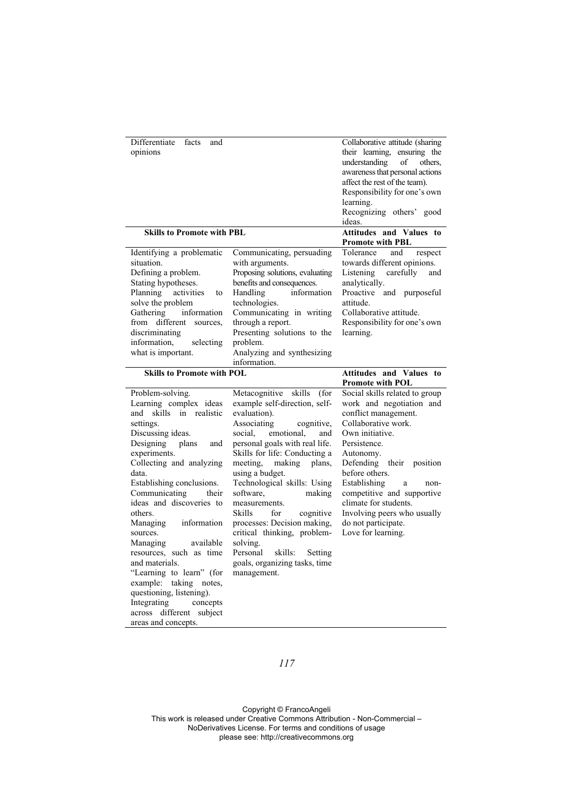| Differentiate<br>facts<br>and<br>opinions                                                                                                                                                                                                                                                             |                                                                                                                                                                                                                                                                                                     | Collaborative attitude (sharing)<br>their learning, ensuring the<br>understanding of<br>others.<br>awareness that personal actions<br>affect the rest of the team).<br>Responsibility for one's own<br>learning.<br>Recognizing others' good<br>ideas. |
|-------------------------------------------------------------------------------------------------------------------------------------------------------------------------------------------------------------------------------------------------------------------------------------------------------|-----------------------------------------------------------------------------------------------------------------------------------------------------------------------------------------------------------------------------------------------------------------------------------------------------|--------------------------------------------------------------------------------------------------------------------------------------------------------------------------------------------------------------------------------------------------------|
| <b>Skills to Promote with PBL</b>                                                                                                                                                                                                                                                                     |                                                                                                                                                                                                                                                                                                     | Attitudes and Values to<br><b>Promote with PBL</b>                                                                                                                                                                                                     |
| Identifying a problematic<br>situation.<br>Defining a problem.<br>Stating hypotheses.<br>Planning activities<br>to<br>solve the problem<br>Gathering<br>information<br>from different sources,<br>discriminating<br>information, selecting<br>what is important.<br><b>Skills to Promote with POL</b> | Communicating, persuading<br>with arguments.<br>Proposing solutions, evaluating<br>benefits and consequences.<br>information<br>Handling<br>technologies.<br>Communicating in writing<br>through a report.<br>Presenting solutions to the<br>problem.<br>Analyzing and synthesizing<br>information. | Tolerance<br>and<br>respect<br>towards different opinions.<br>Listening carefully<br>and<br>analytically.<br>Proactive and purposeful<br>attitude.<br>Collaborative attitude.<br>Responsibility for one's own<br>learning.<br>Attitudes and Values to  |
|                                                                                                                                                                                                                                                                                                       |                                                                                                                                                                                                                                                                                                     | <b>Promote with POL</b>                                                                                                                                                                                                                                |

| Problem-solving.          | Metacognitive skills (for      | Social skills related to group |
|---------------------------|--------------------------------|--------------------------------|
| Learning complex ideas    | example self-direction, self-  | work and negotiation and       |
| and skills in realistic   | evaluation).                   | conflict management.           |
| settings.                 | Associating<br>cognitive,      | Collaborative work.            |
| Discussing ideas.         | social, emotional,<br>and      | Own initiative.                |
| Designing plans<br>and    | personal goals with real life. | Persistence.                   |
| experiments.              | Skills for life: Conducting a  | Autonomy.                      |
| Collecting and analyzing  | meeting, making plans,         | Defending their position       |
| data.                     | using a budget.                | before others.                 |
| Establishing conclusions. | Technological skills: Using    | Establishing<br>a<br>non-      |
| Communicating their       | making<br>software,            | competitive and supportive     |
| ideas and discoveries to  | measurements.                  | climate for students.          |
| others.                   | Skills<br>for<br>cognitive     | Involving peers who usually    |
| Managing information      | processes: Decision making,    | do not participate.            |
| sources.                  | critical thinking, problem-    | Love for learning.             |
| available<br>Managing     | solving.                       |                                |
| resources, such as time   | Personal<br>skills:<br>Setting |                                |
| and materials.            | goals, organizing tasks, time  |                                |
| "Learning to learn" (for  | management.                    |                                |
| example: taking notes,    |                                |                                |
| questioning, listening).  |                                |                                |
| Integrating concepts      |                                |                                |
| across different subject  |                                |                                |
| areas and concepts.       |                                |                                |

# *117*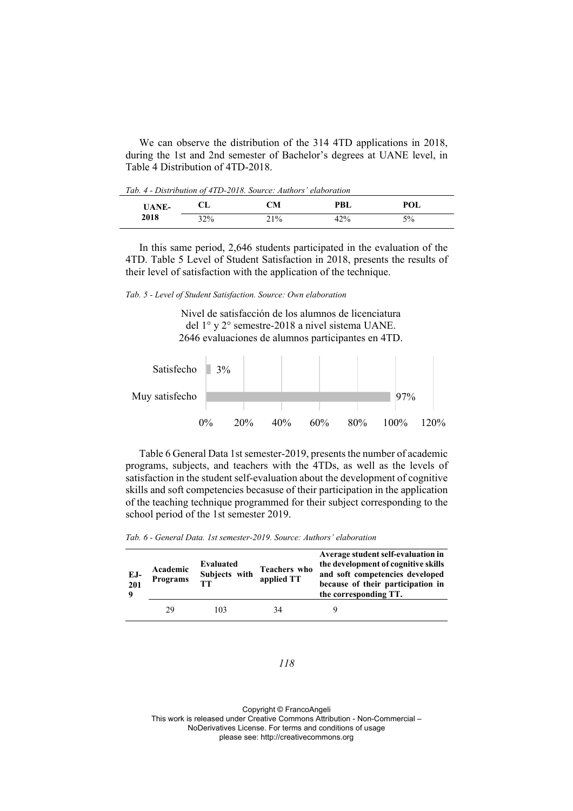We can observe the distribution of the 314 4TD applications in 2018, during the 1st and 2nd semester of Bachelor's degrees at UANE level, in Table 4 Distribution of 4TD-2018.

*Tab. 4 - Distribution of 4TD-2018. Source: Authors' elaboration* 

| <b>UANE-</b> | CL  | CМ  | <b>PBL</b> | POL |  |
|--------------|-----|-----|------------|-----|--|
| 2018         | 32% | 21% | 42%        | 5%  |  |

In this same period, 2,646 students participated in the evaluation of the 4TD. Table 5 Level of Student Satisfaction in 2018, presents the results of their level of satisfaction with the application of the technique.

*Tab. 5 - Level of Student Satisfaction. Source: Own elaboration*

Nivel de satisfacción de los alumnos de licenciatura del 1° y 2° semestre-2018 a nivel sistema UANE. 2646 evaluaciones de alumnos participantes en 4TD.



Table 6 General Data 1st semester-2019, presents the number of academic programs, subjects, and teachers with the 4TDs, as well as the levels of satisfaction in the student self-evaluation about the development of cognitive skills and soft competencies becasuse of their participation in the application of the teaching technique programmed for their subject corresponding to the school period of the 1st semester 2019.

*Tab. 6 - General Data. 1st semester-2019. Source: Authors' elaboration* 

| EJ-<br>201 | Academic<br><b>Programs</b> | Evaluated<br>Subjects with<br>TТ | Teachers who<br>applied TT | Average student self-evaluation in<br>the development of cognitive skills<br>and soft competencies developed<br>because of their participation in<br>the corresponding TT. |
|------------|-----------------------------|----------------------------------|----------------------------|----------------------------------------------------------------------------------------------------------------------------------------------------------------------------|
|            | 29                          | 103                              | 34                         |                                                                                                                                                                            |

#### *118*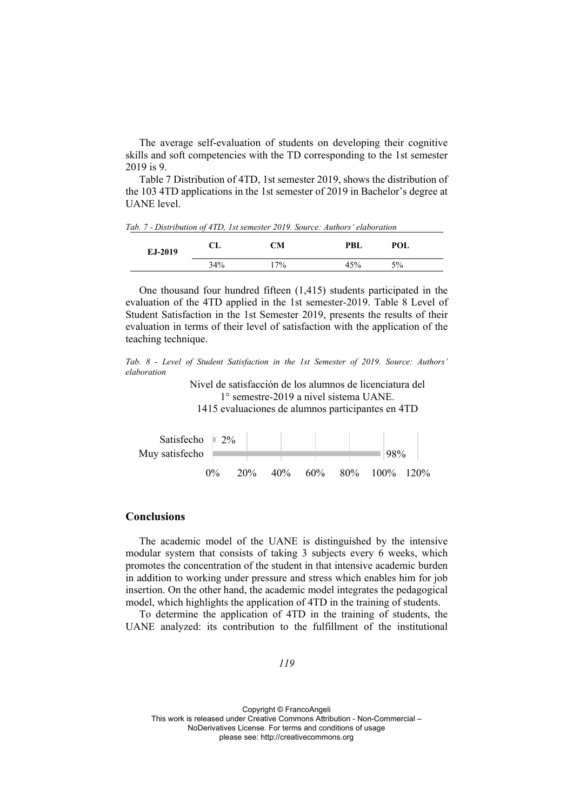The average self-evaluation of students on developing their cognitive skills and soft competencies with the TD corresponding to the 1st semester 2019 is 9.

Table 7 Distribution of 4TD, 1st semester 2019, shows the distribution of the 103 4TD applications in the 1st semester of 2019 in Bachelor's degree at UANE level.

*Tab. 7 - Distribution of 4TD, 1st semester 2019. Source: Authors' elaboration* 

| EJ-2019 | CL  | CМ  | PBL | POL   |  |
|---------|-----|-----|-----|-------|--|
|         | 34% | 17% | 45% | $5\%$ |  |

One thousand four hundred fifteen (1,415) students participated in the evaluation of the 4TD applied in the 1st semester-2019. Table 8 Level of Student Satisfaction in the 1st Semester 2019, presents the results of their evaluation in terms of their level of satisfaction with the application of the teaching technique.

*Tab. 8 - Level of Student Satisfaction in the 1st Semester of 2019. Source: Authors' elaboration* 

> Nivel de satisfacción de los alumnos de licenciatura del 1° semestre-2019 a nivel sistema UANE. 1415 evaluaciones de alumnos participantes en 4TD



# **Conclusions**

The academic model of the UANE is distinguished by the intensive modular system that consists of taking 3 subjects every 6 weeks, which promotes the concentration of the student in that intensive academic burden in addition to working under pressure and stress which enables him for job insertion. On the other hand, the academic model integrates the pedagogical model, which highlights the application of 4TD in the training of students.

To determine the application of 4TD in the training of students, the UANE analyzed: its contribution to the fulfillment of the institutional

*119*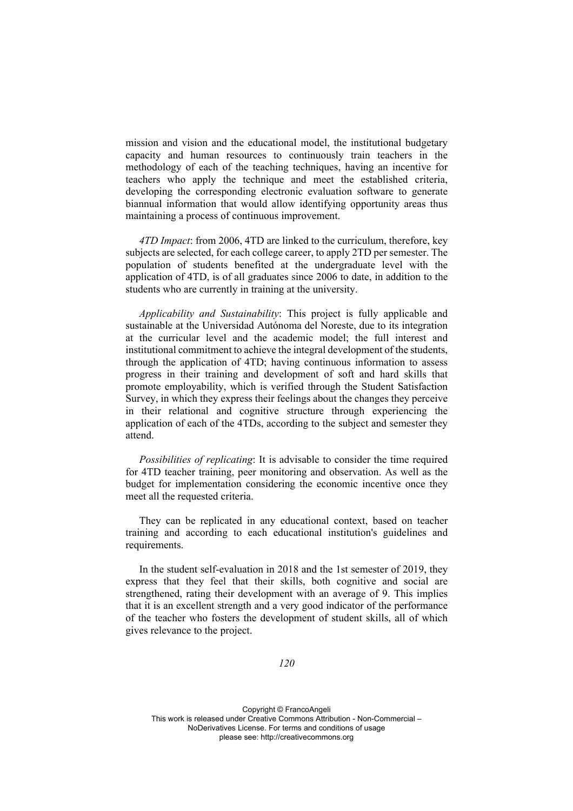mission and vision and the educational model, the institutional budgetary capacity and human resources to continuously train teachers in the methodology of each of the teaching techniques, having an incentive for teachers who apply the technique and meet the established criteria, developing the corresponding electronic evaluation software to generate biannual information that would allow identifying opportunity areas thus maintaining a process of continuous improvement.

*4TD Impact*: from 2006, 4TD are linked to the curriculum, therefore, key subjects are selected, for each college career, to apply 2TD per semester. The population of students benefited at the undergraduate level with the application of 4TD, is of all graduates since 2006 to date, in addition to the students who are currently in training at the university.

*Applicability and Sustainability*: This project is fully applicable and sustainable at the Universidad Autónoma del Noreste, due to its integration at the curricular level and the academic model; the full interest and institutional commitment to achieve the integral development of the students, through the application of 4TD; having continuous information to assess progress in their training and development of soft and hard skills that promote employability, which is verified through the Student Satisfaction Survey, in which they express their feelings about the changes they perceive in their relational and cognitive structure through experiencing the application of each of the 4TDs, according to the subject and semester they attend.

*Possibilities of replicating*: It is advisable to consider the time required for 4TD teacher training, peer monitoring and observation. As well as the budget for implementation considering the economic incentive once they meet all the requested criteria.

They can be replicated in any educational context, based on teacher training and according to each educational institution's guidelines and requirements.

In the student self-evaluation in 2018 and the 1st semester of 2019, they express that they feel that their skills, both cognitive and social are strengthened, rating their development with an average of 9. This implies that it is an excellent strength and a very good indicator of the performance of the teacher who fosters the development of student skills, all of which gives relevance to the project.